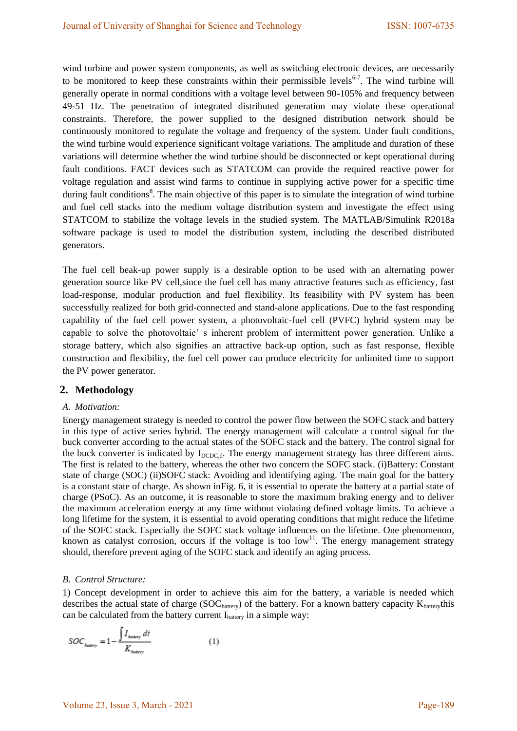wind turbine and power system components, as well as switching electronic devices, are necessarily to be monitored to keep these constraints within their permissible levels<sup>6-7</sup>. The wind turbine will generally operate in normal conditions with a voltage level between 90-105% and frequency between 49-51 Hz. The penetration of integrated distributed generation may violate these operational constraints. Therefore, the power supplied to the designed distribution network should be continuously monitored to regulate the voltage and frequency of the system. Under fault conditions, the wind turbine would experience significant voltage variations. The amplitude and duration of these variations will determine whether the wind turbine should be disconnected or kept operational during fault conditions. FACT devices such as STATCOM can provide the required reactive power for voltage regulation and assist wind farms to continue in supplying active power for a specific time during fault conditions<sup>8</sup>. The main objective of this paper is to simulate the integration of wind turbine and fuel cell stacks into the medium voltage distribution system and investigate the effect using STATCOM to stabilize the voltage levels in the studied system. The MATLAB/Simulink R2018a software package is used to model the distribution system, including the described distributed generators.

The fuel cell beak-up power supply is a desirable option to be used with an alternating power generation source like PV cell,since the fuel cell has many attractive features such as efficiency, fast load-response, modular production and fuel flexibility. Its feasibility with PV system has been successfully realized for both grid-connected and stand-alone applications. Due to the fast responding capability of the fuel cell power system, a photovoltaic-fuel cell (PVFC) hybrid system may be capable to solve the photovoltaic' s inherent problem of intermittent power generation. Unlike a storage battery, which also signifies an attractive back-up option, such as fast response, flexible construction and flexibility, the fuel cell power can produce electricity for unlimited time to support the PV power generator.

#### **2. Methodology**

### *A. Motivation:*

Energy management strategy is needed to control the power flow between the SOFC stack and battery in this type of active series hybrid. The energy management will calculate a control signal for the buck converter according to the actual states of the SOFC stack and the battery. The control signal for the buck converter is indicated by I<sub>DCDC,d</sub>. The energy management strategy has three different aims. The first is related to the battery, whereas the other two concern the SOFC stack. (i)Battery: Constant state of charge (SOC) (ii)SOFC stack: Avoiding and identifying aging. The main goal for the battery is a constant state of charge. As shown inFig. 6, it is essential to operate the battery at a partial state of charge (PSoC). As an outcome, it is reasonable to store the maximum braking energy and to deliver the maximum acceleration energy at any time without violating defined voltage limits. To achieve a long lifetime for the system, it is essential to avoid operating conditions that might reduce the lifetime of the SOFC stack. Especially the SOFC stack voltage influences on the lifetime. One phenomenon, known as catalyst corrosion, occurs if the voltage is too  $\text{low}^{11}$ . The energy management strategy should, therefore prevent aging of the SOFC stack and identify an aging process.

#### *B. Control Structure:*

1) Concept development in order to achieve this aim for the battery, a variable is needed which describes the actual state of charge ( $SOC<sub>battery</sub>$ ) of the battery. For a known battery capacity  $K<sub>battery</sub>$ this can be calculated from the battery current  $I<sub>battery</sub>$  in a simple way:

$$
SOC_{bawry} = 1 - \frac{\int I_{bawry} dt}{K_{bawry}}
$$
 (1)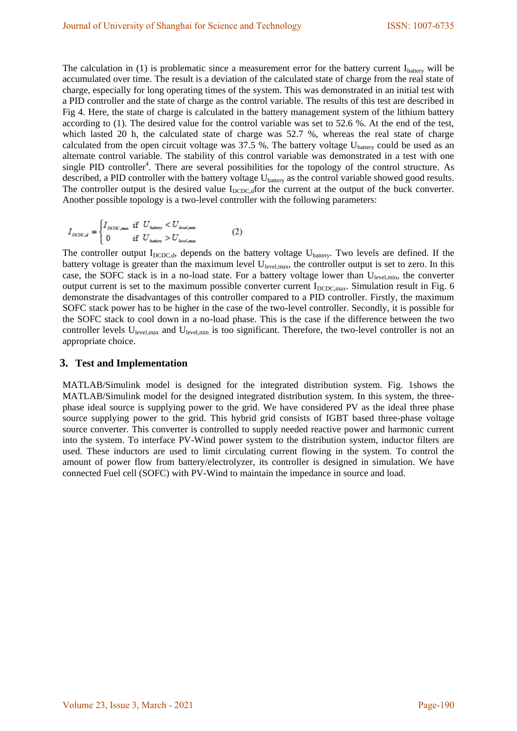The calculation in (1) is problematic since a measurement error for the battery current  $I<sub>battery</sub>$  will be accumulated over time. The result is a deviation of the calculated state of charge from the real state of charge, especially for long operating times of the system. This was demonstrated in an initial test with a PID controller and the state of charge as the control variable. The results of this test are described in Fig 4. Here, the state of charge is calculated in the battery management system of the lithium battery according to (1). The desired value for the control variable was set to 52.6 %. At the end of the test, which lasted 20 h, the calculated state of charge was 52.7 %, whereas the real state of charge calculated from the open circuit voltage was  $37.5$  %. The battery voltage U<sub>battery</sub> could be used as an alternate control variable. The stability of this control variable was demonstrated in a test with one single PID controller<sup>4</sup>. There are several possibilities for the topology of the control structure. As described, a PID controller with the battery voltage U<sub>battery</sub> as the control variable showed good results. The controller output is the desired value  $I_{\text{DCDCd}}$  for the current at the output of the buck converter. Another possible topology is a two-level controller with the following parameters:

$$
I_{DCDC,d} = \begin{cases} I_{DCDC,max} & \text{if } U_{bating} < U_{level,min} \\ 0 & \text{if } U_{bating} > U_{level,max} \end{cases} \tag{2}
$$

The controller output  $I_{\text{DCDC},d}$ , depends on the battery voltage  $U_{\text{battery}}$ . Two levels are defined. If the battery voltage is greater than the maximum level  $U_{\text{level,max}}$ , the controller output is set to zero. In this case, the SOFC stack is in a no-load state. For a battery voltage lower than Ulevel,min, the converter output current is set to the maximum possible converter current  $I_{\text{DCDC,max}}$ . Simulation result in Fig. 6 demonstrate the disadvantages of this controller compared to a PID controller. Firstly, the maximum SOFC stack power has to be higher in the case of the two-level controller. Secondly, it is possible for the SOFC stack to cool down in a no-load phase. This is the case if the difference between the two controller levels U<sub>level,max</sub> and U<sub>level,min</sub> is too significant. Therefore, the two-level controller is not an appropriate choice.

### **3. Test and Implementation**

MATLAB/Simulink model is designed for the integrated distribution system. Fig. 1shows the MATLAB/Simulink model for the designed integrated distribution system. In this system, the threephase ideal source is supplying power to the grid. We have considered PV as the ideal three phase source supplying power to the grid. This hybrid grid consists of IGBT based three-phase voltage source converter. This converter is controlled to supply needed reactive power and harmonic current into the system. To interface PV-Wind power system to the distribution system, inductor filters are used. These inductors are used to limit circulating current flowing in the system. To control the amount of power flow from battery/electrolyzer, its controller is designed in simulation. We have connected Fuel cell (SOFC) with PV-Wind to maintain the impedance in source and load.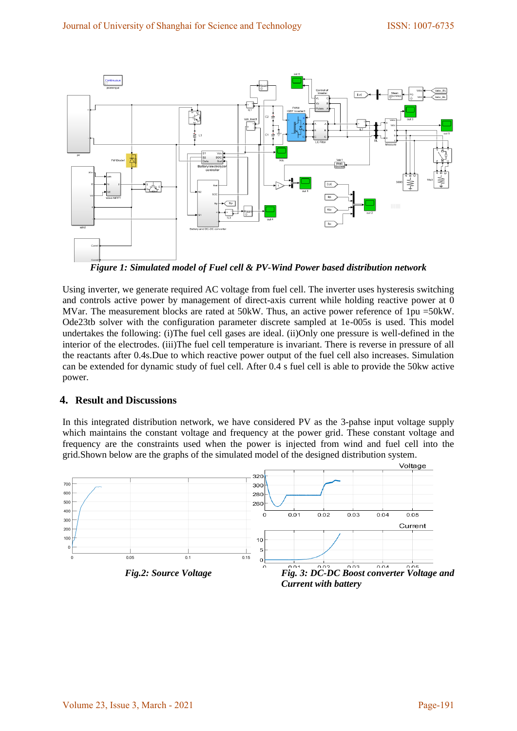

*Figure 1: Simulated model of Fuel cell & PV-Wind Power based distribution network* 

Using inverter, we generate required AC voltage from fuel cell. The inverter uses hysteresis switching and controls active power by management of direct-axis current while holding reactive power at 0 MVar. The measurement blocks are rated at 50kW. Thus, an active power reference of 1pu =50kW. Ode23tb solver with the configuration parameter discrete sampled at 1e-005s is used. This model undertakes the following: (i)The fuel cell gases are ideal. (ii)Only one pressure is well-defined in the interior of the electrodes. (iii)The fuel cell temperature is invariant. There is reverse in pressure of all the reactants after 0.4s.Due to which reactive power output of the fuel cell also increases. Simulation can be extended for dynamic study of fuel cell. After 0.4 s fuel cell is able to provide the 50kw active power.

## **4. Result and Discussions**

In this integrated distribution network, we have considered PV as the 3-pahse input voltage supply which maintains the constant voltage and frequency at the power grid. These constant voltage and frequency are the constraints used when the power is injected from wind and fuel cell into the grid.Shown below are the graphs of the simulated model of the designed distribution system.

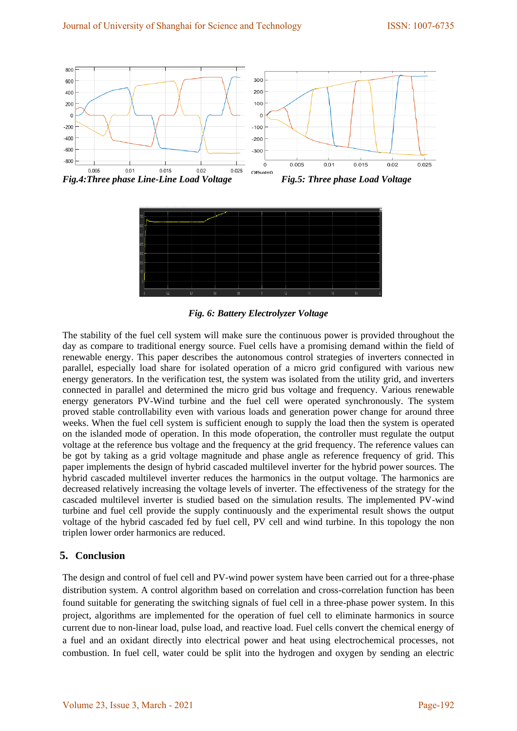



*Fig. 6: Battery Electrolyzer Voltage* 

The stability of the fuel cell system will make sure the continuous power is provided throughout the day as compare to traditional energy source. Fuel cells have a promising demand within the field of renewable energy. This paper describes the autonomous control strategies of inverters connected in parallel, especially load share for isolated operation of a micro grid configured with various new energy generators. In the verification test, the system was isolated from the utility grid, and inverters connected in parallel and determined the micro grid bus voltage and frequency. Various renewable energy generators PV-Wind turbine and the fuel cell were operated synchronously. The system proved stable controllability even with various loads and generation power change for around three weeks. When the fuel cell system is sufficient enough to supply the load then the system is operated on the islanded mode of operation. In this mode ofoperation, the controller must regulate the output voltage at the reference bus voltage and the frequency at the grid frequency. The reference values can be got by taking as a grid voltage magnitude and phase angle as reference frequency of grid. This paper implements the design of hybrid cascaded multilevel inverter for the hybrid power sources. The hybrid cascaded multilevel inverter reduces the harmonics in the output voltage. The harmonics are decreased relatively increasing the voltage levels of inverter. The effectiveness of the strategy for the cascaded multilevel inverter is studied based on the simulation results. The implemented PV-wind turbine and fuel cell provide the supply continuously and the experimental result shows the output voltage of the hybrid cascaded fed by fuel cell, PV cell and wind turbine. In this topology the non triplen lower order harmonics are reduced.

# **5. Conclusion**

The design and control of fuel cell and PV-wind power system have been carried out for a three-phase distribution system. A control algorithm based on correlation and cross-correlation function has been found suitable for generating the switching signals of fuel cell in a three-phase power system. In this project, algorithms are implemented for the operation of fuel cell to eliminate harmonics in source current due to non-linear load, pulse load, and reactive load. Fuel cells convert the chemical energy of a fuel and an oxidant directly into electrical power and heat using electrochemical processes, not combustion. In fuel cell, water could be split into the hydrogen and oxygen by sending an electric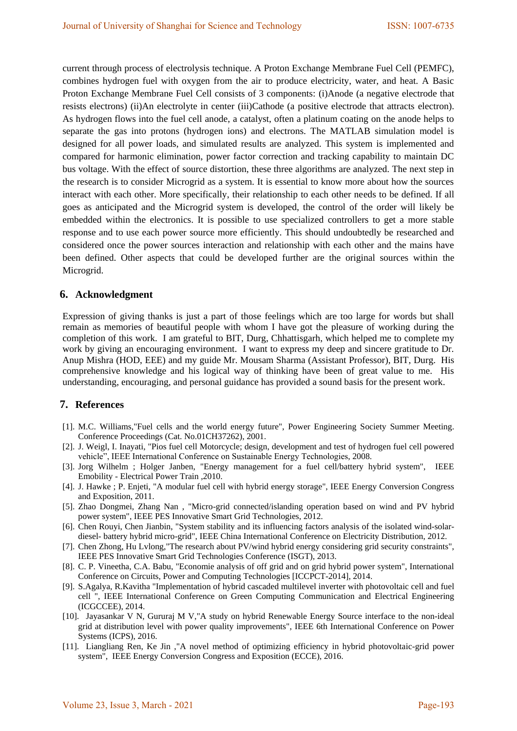current through process of electrolysis technique. A Proton Exchange Membrane Fuel Cell (PEMFC), combines hydrogen fuel with oxygen from the air to produce electricity, water, and heat. A Basic Proton Exchange Membrane Fuel Cell consists of 3 components: (i)Anode (a negative electrode that resists electrons) (ii)An electrolyte in center (iii)Cathode (a positive electrode that attracts electron). As hydrogen flows into the fuel cell anode, a catalyst, often a platinum coating on the anode helps to separate the gas into protons (hydrogen ions) and electrons. The MATLAB simulation model is designed for all power loads, and simulated results are analyzed. This system is implemented and compared for harmonic elimination, power factor correction and tracking capability to maintain DC bus voltage. With the effect of source distortion, these three algorithms are analyzed. The next step in the research is to consider Microgrid as a system. It is essential to know more about how the sources interact with each other. More specifically, their relationship to each other needs to be defined. If all goes as anticipated and the Microgrid system is developed, the control of the order will likely be embedded within the electronics. It is possible to use specialized controllers to get a more stable response and to use each power source more efficiently. This should undoubtedly be researched and considered once the power sources interaction and relationship with each other and the mains have been defined. Other aspects that could be developed further are the original sources within the Microgrid.

### **6. Acknowledgment**

Expression of giving thanks is just a part of those feelings which are too large for words but shall remain as memories of beautiful people with whom I have got the pleasure of working during the completion of this work. I am grateful to BIT, Durg, Chhattisgarh, which helped me to complete my work by giving an encouraging environment. I want to express my deep and sincere gratitude to Dr. Anup Mishra (HOD, EEE) and my guide Mr. Mousam Sharma (Assistant Professor), BIT, Durg. His comprehensive knowledge and his logical way of thinking have been of great value to me. His understanding, encouraging, and personal guidance has provided a sound basis for the present work.

## **7. References**

- [1]. M.C. Williams,"Fuel cells and the world energy future", Power Engineering Society Summer Meeting. Conference Proceedings (Cat. No.01CH37262), 2001.
- [2]. J. Weigl, I. Inayati, "Pios fuel cell Motorcycle; design, development and test of hydrogen fuel cell powered vehicle", IEEE International Conference on Sustainable Energy Technologies, 2008.
- [3]. Jorg Wilhelm ; Holger Janben, "Energy management for a fuel cell/battery hybrid system", IEEE Emobility - Electrical Power Train ,2010.
- [4]. J. Hawke ; P. Enjeti, "A modular fuel cell with hybrid energy storage", IEEE Energy Conversion Congress and Exposition, 2011.
- [5]. Zhao Dongmei, Zhang Nan , "Micro-grid connected/islanding operation based on wind and PV hybrid power system", IEEE PES Innovative Smart Grid Technologies, 2012.
- [6]. Chen Rouyi, Chen Jianbin, "System stability and its influencing factors analysis of the isolated wind-solardiesel- battery hybrid micro-grid", IEEE China International Conference on Electricity Distribution, 2012.
- [7]. Chen Zhong, Hu Lvlong,"The research about PV/wind hybrid energy considering grid security constraints", IEEE PES Innovative Smart Grid Technologies Conference (ISGT), 2013.
- [8]. C. P. Vineetha, C.A. Babu, "Economie analysis of off grid and on grid hybrid power system", International Conference on Circuits, Power and Computing Technologies [ICCPCT-2014], 2014.
- [9]. S.Agalya, R.Kavitha "Implementation of hybrid cascaded multilevel inverter with photovoltaic cell and fuel cell ", IEEE International Conference on Green Computing Communication and Electrical Engineering (ICGCCEE), 2014.
- [10]. Jayasankar V N, Gururaj M V,"A study on hybrid Renewable Energy Source interface to the non-ideal grid at distribution level with power quality improvements", IEEE 6th International Conference on Power Systems (ICPS), 2016.
- [11]. Liangliang Ren, Ke Jin ,"A novel method of optimizing efficiency in hybrid photovoltaic-grid power system", IEEE Energy Conversion Congress and Exposition (ECCE), 2016.